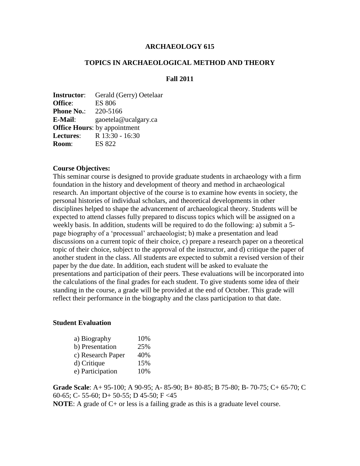## **ARCHAEOLOGY 615**

# **TOPICS IN ARCHAEOLOGICAL METHOD AND THEORY**

# **Fall 2011**

| <b>Instructor:</b> | Gerald (Gerry) Oetelaar             |
|--------------------|-------------------------------------|
| Office:            | <b>ES 806</b>                       |
| <b>Phone No.:</b>  | 220-5166                            |
| E-Mail:            | gaoetela@ucalgary.ca                |
|                    | <b>Office Hours:</b> by appointment |
| Lectures:          | R 13:30 - 16:30                     |
| <b>Room:</b>       | <b>ES 822</b>                       |

# **Course Objectives:**

This seminar course is designed to provide graduate students in archaeology with a firm foundation in the history and development of theory and method in archaeological research. An important objective of the course is to examine how events in society, the personal histories of individual scholars, and theoretical developments in other disciplines helped to shape the advancement of archaeological theory. Students will be expected to attend classes fully prepared to discuss topics which will be assigned on a weekly basis. In addition, students will be required to do the following: a) submit a 5 page biography of a 'processual' archaeologist; b) make a presentation and lead discussions on a current topic of their choice, c) prepare a research paper on a theoretical topic of their choice, subject to the approval of the instructor, and d) critique the paper of another student in the class. All students are expected to submit a revised version of their paper by the due date. In addition, each student will be asked to evaluate the presentations and participation of their peers. These evaluations will be incorporated into the calculations of the final grades for each student. To give students some idea of their standing in the course, a grade will be provided at the end of October. This grade will reflect their performance in the biography and the class participation to that date.

## **Student Evaluation**

| a) Biography      | 10% |
|-------------------|-----|
| b) Presentation   | 25% |
| c) Research Paper | 40% |
| d) Critique       | 15% |
| e) Participation  | 10% |

**Grade Scale**: A+ 95-100; A 90-95; A- 85-90; B+ 80-85; B 75-80; B- 70-75; C+ 65-70; C 60-65; C- 55-60; D+ 50-55; D 45-50; F <45 **NOTE:** A grade of C+ or less is a failing grade as this is a graduate level course.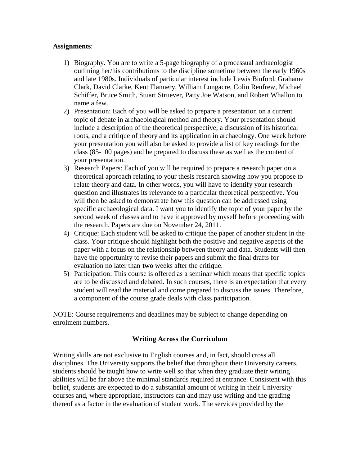# **Assignments**:

- 1) Biography. You are to write a 5-page biography of a processual archaeologist outlining her/his contributions to the discipline sometime between the early 1960s and late 1980s. Individuals of particular interest include Lewis Binford, Grahame Clark, David Clarke, Kent Flannery, William Longacre, Colin Renfrew, Michael Schiffer, Bruce Smith, Stuart Struever, Patty Joe Watson, and Robert Whallon to name a few.
- 2) Presentation: Each of you will be asked to prepare a presentation on a current topic of debate in archaeological method and theory. Your presentation should include a description of the theoretical perspective, a discussion of its historical roots, and a critique of theory and its application in archaeology. One week before your presentation you will also be asked to provide a list of key readings for the class (85-100 pages) and be prepared to discuss these as well as the content of your presentation.
- 3) Research Papers: Each of you will be required to prepare a research paper on a theoretical approach relating to your thesis research showing how you propose to relate theory and data. In other words, you will have to identify your research question and illustrates its relevance to a particular theoretical perspective. You will then be asked to demonstrate how this question can be addressed using specific archaeological data. I want you to identify the topic of your paper by the second week of classes and to have it approved by myself before proceeding with the research. Papers are due on November 24, 2011.
- 4) Critique: Each student will be asked to critique the paper of another student in the class. Your critique should highlight both the positive and negative aspects of the paper with a focus on the relationship between theory and data. Students will then have the opportunity to revise their papers and submit the final drafts for evaluation no later than **two** weeks after the critique.
- 5) Participation: This course is offered as a seminar which means that specific topics are to be discussed and debated. In such courses, there is an expectation that every student will read the material and come prepared to discuss the issues. Therefore, a component of the course grade deals with class participation.

NOTE: Course requirements and deadlines may be subject to change depending on enrolment numbers.

# **Writing Across the Curriculum**

Writing skills are not exclusive to English courses and, in fact, should cross all disciplines. The University supports the belief that throughout their University careers, students should be taught how to write well so that when they graduate their writing abilities will be far above the minimal standards required at entrance. Consistent with this belief, students are expected to do a substantial amount of writing in their University courses and, where appropriate, instructors can and may use writing and the grading thereof as a factor in the evaluation of student work. The services provided by the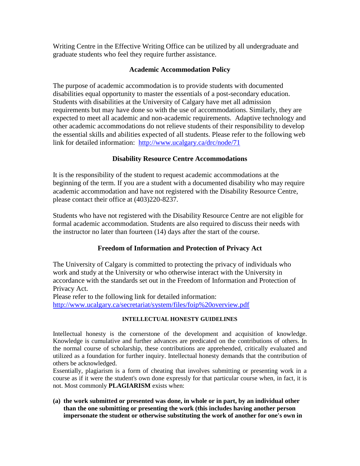Writing Centre in the Effective Writing Office can be utilized by all undergraduate and graduate students who feel they require further assistance.

# **Academic Accommodation Policy**

The purpose of academic accommodation is to provide students with documented disabilities equal opportunity to master the essentials of a post-secondary education. Students with disabilities at the University of Calgary have met all admission requirements but may have done so with the use of accommodations. Similarly, they are expected to meet all academic and non-academic requirements. Adaptive technology and other academic accommodations do not relieve students of their responsibility to develop the essential skills and abilities expected of all students. Please refer to the following web link for detailed information: <http://www.ucalgary.ca/drc/node/71>

# **Disability Resource Centre Accommodations**

It is the responsibility of the student to request academic accommodations at the beginning of the term. If you are a student with a documented disability who may require academic accommodation and have not registered with the Disability Resource Centre, please contact their office at (403)220-8237.

Students who have not registered with the Disability Resource Centre are not eligible for formal academic accommodation. Students are also required to discuss their needs with the instructor no later than fourteen (14) days after the start of the course.

# **Freedom of Information and Protection of Privacy Act**

The University of Calgary is committed to protecting the privacy of individuals who work and study at the University or who otherwise interact with the University in accordance with the standards set out in the Freedom of Information and Protection of Privacy Act.

Please refer to the following link for detailed information: <http://www.ucalgary.ca/secretariat/system/files/foip%20overview.pdf>

## **INTELLECTUAL HONESTY GUIDELINES**

Intellectual honesty is the cornerstone of the development and acquisition of knowledge. Knowledge is cumulative and further advances are predicated on the contributions of others. In the normal course of scholarship, these contributions are apprehended, critically evaluated and utilized as a foundation for further inquiry. Intellectual honesty demands that the contribution of others be acknowledged.

Essentially, plagiarism is a form of cheating that involves submitting or presenting work in a course as if it were the student's own done expressly for that particular course when, in fact, it is not. Most commonly **PLAGIARISM** exists when:

**(a) the work submitted or presented was done, in whole or in part, by an individual other than the one submitting or presenting the work (this includes having another person impersonate the student or otherwise substituting the work of another for one's own in**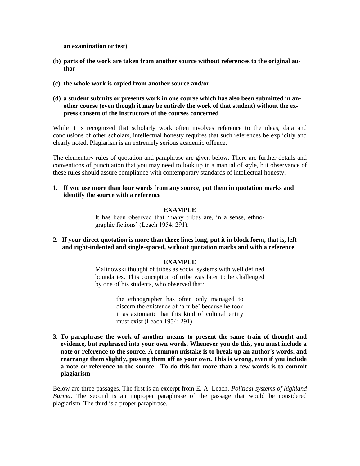**an examination or test)**

- **(b) parts of the work are taken from another source without references to the original author**
- **(c) the whole work is copied from another source and/or**
- **(d) a student submits or presents work in one course which has also been submitted in another course (even though it may be entirely the work of that student) without the express consent of the instructors of the courses concerned**

While it is recognized that scholarly work often involves reference to the ideas, data and conclusions of other scholars, intellectual honesty requires that such references be explicitly and clearly noted. Plagiarism is an extremely serious academic offence.

The elementary rules of quotation and paraphrase are given below. There are further details and conventions of punctuation that you may need to look up in a manual of style, but observance of these rules should assure compliance with contemporary standards of intellectual honesty.

### **1. If you use more than four words from any source, put them in quotation marks and identify the source with a reference**

#### **EXAMPLE**

It has been observed that 'many tribes are, in a sense, ethnographic fictions' (Leach 1954: 291).

**2. If your direct quotation is more than three lines long, put it in block form, that is, leftand right-indented and single-spaced, without quotation marks and with a reference**

### **EXAMPLE**

Malinowski thought of tribes as social systems with well defined boundaries. This conception of tribe was later to be challenged by one of his students, who observed that:

> the ethnographer has often only managed to discern the existence of 'a tribe' because he took it as axiomatic that this kind of cultural entity must exist (Leach 1954: 291).

**3. To paraphrase the work of another means to present the same train of thought and evidence, but rephrased into your own words. Whenever you do this, you must include a note or reference to the source. A common mistake is to break up an author's words, and rearrange them slightly, passing them off as your own. This is wrong, even if you include a note or reference to the source. To do this for more than a few words is to commit plagiarism**

Below are three passages. The first is an excerpt from E. A. Leach, *Political systems of highland Burma*. The second is an improper paraphrase of the passage that would be considered plagiarism. The third is a proper paraphrase.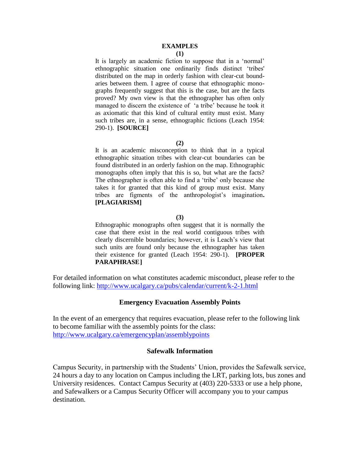### **EXAMPLES**

#### **(1)**

It is largely an academic fiction to suppose that in a 'normal' ethnographic situation one ordinarily finds distinct 'tribes' distributed on the map in orderly fashion with clear-cut boundaries between them. I agree of course that ethnographic monographs frequently suggest that this is the case, but are the facts proved? My own view is that the ethnographer has often only managed to discern the existence of 'a tribe' because he took it as axiomatic that this kind of cultural entity must exist. Many such tribes are, in a sense, ethnographic fictions (Leach 1954: 290-1). **[SOURCE]**

#### **(2)**

It is an academic misconception to think that in a typical ethnographic situation tribes with clear-cut boundaries can be found distributed in an orderly fashion on the map. Ethnographic monographs often imply that this is so, but what are the facts? The ethnographer is often able to find a 'tribe' only because she takes it for granted that this kind of group must exist. Many tribes are figments of the anthropologist's imagination**. [PLAGIARISM]**

#### **(3)**

Ethnographic monographs often suggest that it is normally the case that there exist in the real world contiguous tribes with clearly discernible boundaries; however, it is Leach's view that such units are found only because the ethnographer has taken their existence for granted (Leach 1954: 290-1). **[PROPER PARAPHRASE]**

For detailed information on what constitutes academic misconduct, please refer to the following link:<http://www.ucalgary.ca/pubs/calendar/current/k-2-1.html>

## **Emergency Evacuation Assembly Points**

In the event of an emergency that requires evacuation, please refer to the following link to become familiar with the assembly points for the class: <http://www.ucalgary.ca/emergencyplan/assemblypoints>

## **Safewalk Information**

Campus Security, in partnership with the Students' Union, provides the Safewalk service, 24 hours a day to any location on Campus including the LRT, parking lots, bus zones and University residences. Contact Campus Security at (403) 220-5333 or use a help phone, and Safewalkers or a Campus Security Officer will accompany you to your campus destination.